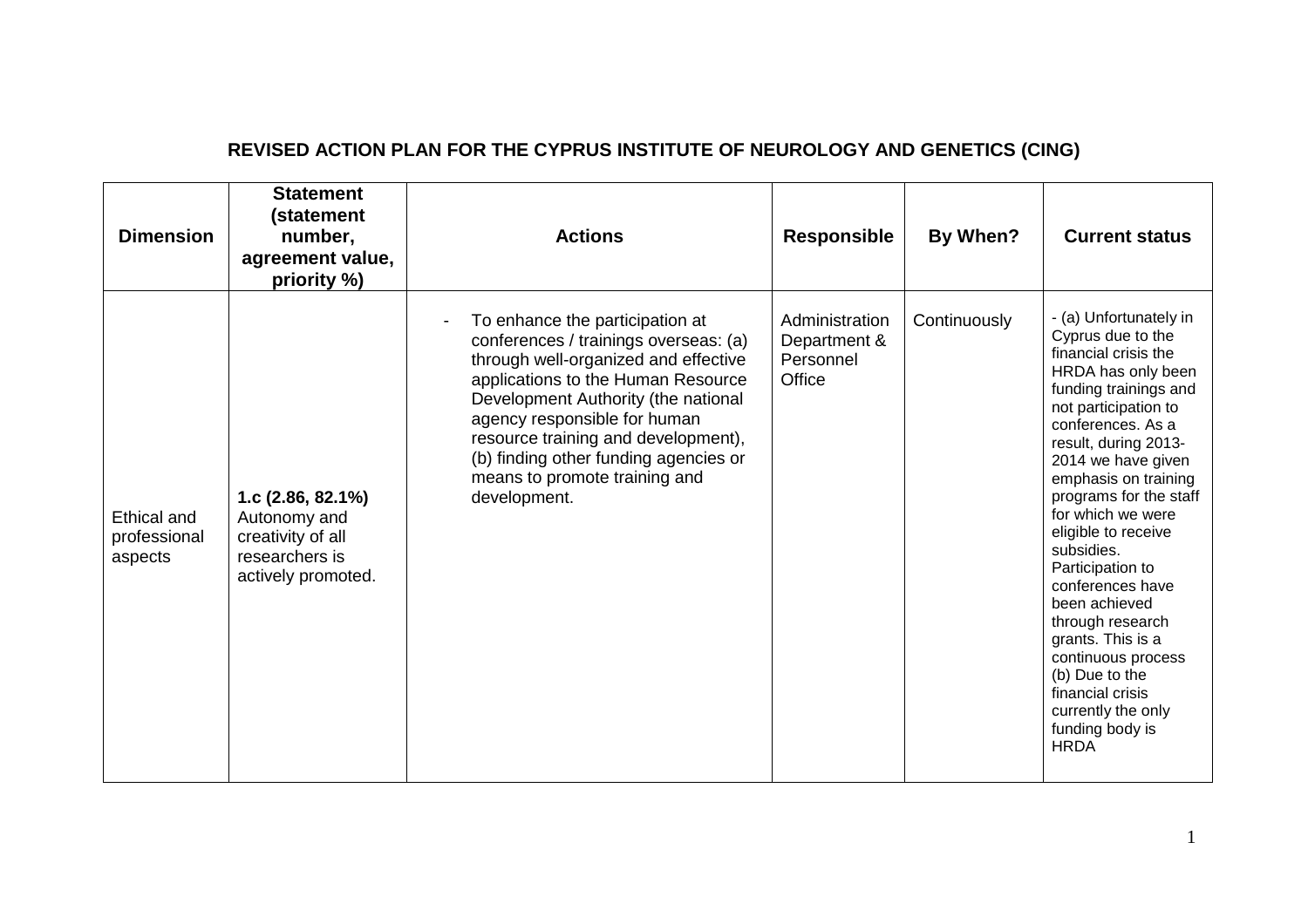| <b>Dimension</b>                       | <b>Statement</b><br>(statement<br>number,<br>agreement value,<br>priority %)                      | <b>Actions</b>                                                                                                                                                                                                                                                                                                                                                 | Responsible                                           | By When?     | <b>Current status</b>                                                                                                                                                                                                                                                                                                                                                                                                                                                                                                                           |
|----------------------------------------|---------------------------------------------------------------------------------------------------|----------------------------------------------------------------------------------------------------------------------------------------------------------------------------------------------------------------------------------------------------------------------------------------------------------------------------------------------------------------|-------------------------------------------------------|--------------|-------------------------------------------------------------------------------------------------------------------------------------------------------------------------------------------------------------------------------------------------------------------------------------------------------------------------------------------------------------------------------------------------------------------------------------------------------------------------------------------------------------------------------------------------|
| Ethical and<br>professional<br>aspects | 1.c $(2.86, 82.1\%)$<br>Autonomy and<br>creativity of all<br>researchers is<br>actively promoted. | To enhance the participation at<br>conferences / trainings overseas: (a)<br>through well-organized and effective<br>applications to the Human Resource<br>Development Authority (the national<br>agency responsible for human<br>resource training and development),<br>(b) finding other funding agencies or<br>means to promote training and<br>development. | Administration<br>Department &<br>Personnel<br>Office | Continuously | - (a) Unfortunately in<br>Cyprus due to the<br>financial crisis the<br>HRDA has only been<br>funding trainings and<br>not participation to<br>conferences. As a<br>result, during 2013-<br>2014 we have given<br>emphasis on training<br>programs for the staff<br>for which we were<br>eligible to receive<br>subsidies.<br>Participation to<br>conferences have<br>been achieved<br>through research<br>grants. This is a<br>continuous process<br>(b) Due to the<br>financial crisis<br>currently the only<br>funding body is<br><b>HRDA</b> |

## **REVISED ACTION PLAN FOR THE CYPRUS INSTITUTE OF NEUROLOGY AND GENETICS (CING)**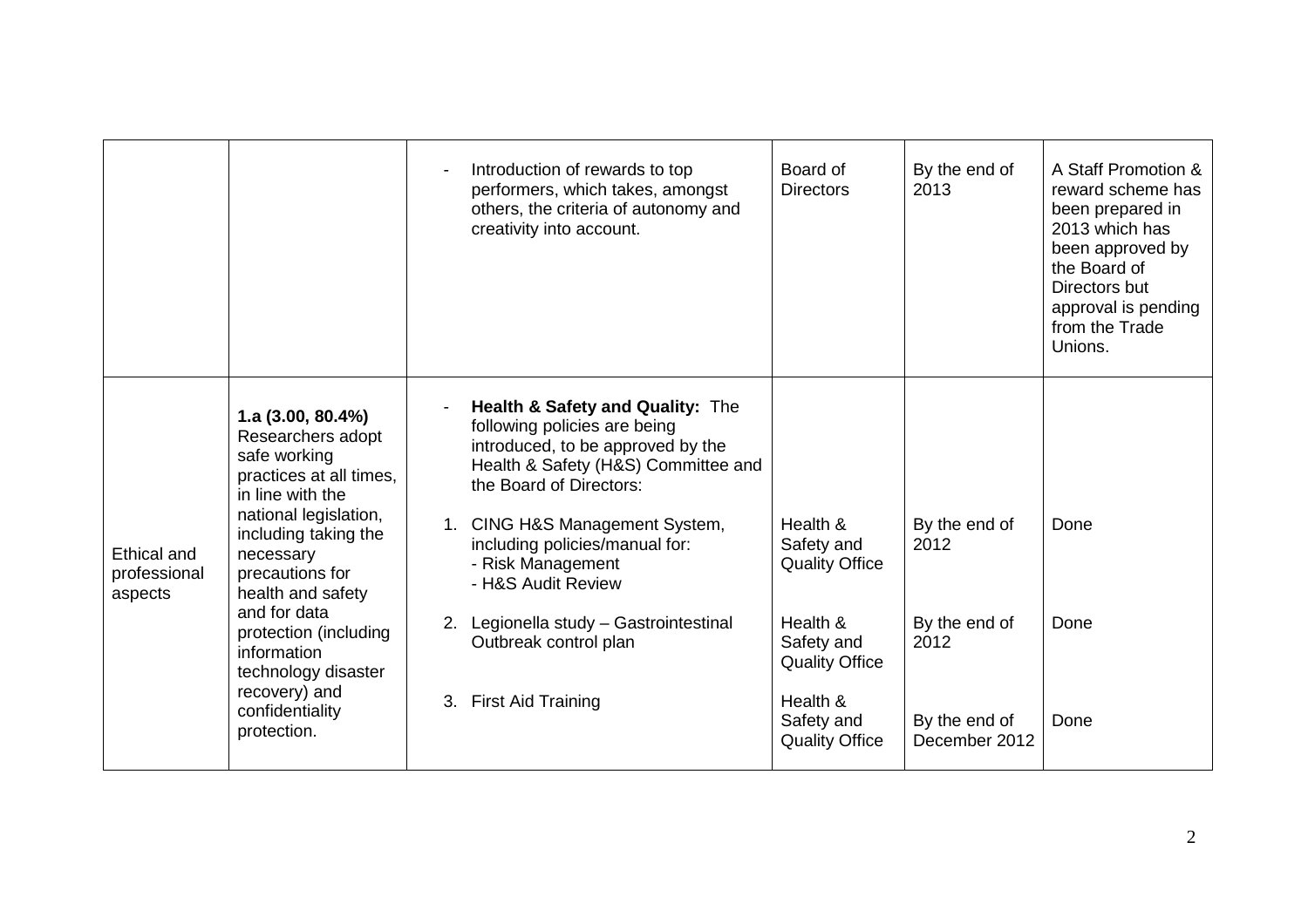|                                        |                                                                                                                                                                                                                                                                                                                                                  |                      | Introduction of rewards to top<br>performers, which takes, amongst<br>others, the criteria of autonomy and<br>creativity into account.                                                                                                                                                                                                                                              | Board of<br><b>Directors</b>                                                                                                                          | By the end of<br>2013                                                            | A Staff Promotion &<br>reward scheme has<br>been prepared in<br>2013 which has<br>been approved by<br>the Board of<br>Directors but<br>approval is pending<br>from the Trade<br>Unions. |
|----------------------------------------|--------------------------------------------------------------------------------------------------------------------------------------------------------------------------------------------------------------------------------------------------------------------------------------------------------------------------------------------------|----------------------|-------------------------------------------------------------------------------------------------------------------------------------------------------------------------------------------------------------------------------------------------------------------------------------------------------------------------------------------------------------------------------------|-------------------------------------------------------------------------------------------------------------------------------------------------------|----------------------------------------------------------------------------------|-----------------------------------------------------------------------------------------------------------------------------------------------------------------------------------------|
| Ethical and<br>professional<br>aspects | 1.a $(3.00, 80.4\%)$<br>Researchers adopt<br>safe working<br>practices at all times,<br>in line with the<br>national legislation,<br>including taking the<br>necessary<br>precautions for<br>health and safety<br>and for data<br>protection (including<br>information<br>technology disaster<br>recovery) and<br>confidentiality<br>protection. | 1.<br>3 <sub>1</sub> | Health & Safety and Quality: The<br>following policies are being<br>introduced, to be approved by the<br>Health & Safety (H&S) Committee and<br>the Board of Directors:<br>CING H&S Management System,<br>including policies/manual for:<br>- Risk Management<br>- H&S Audit Review<br>2. Legionella study - Gastrointestinal<br>Outbreak control plan<br><b>First Aid Training</b> | Health &<br>Safety and<br><b>Quality Office</b><br>Health &<br>Safety and<br><b>Quality Office</b><br>Health &<br>Safety and<br><b>Quality Office</b> | By the end of<br>2012<br>By the end of<br>2012<br>By the end of<br>December 2012 | Done<br>Done<br>Done                                                                                                                                                                    |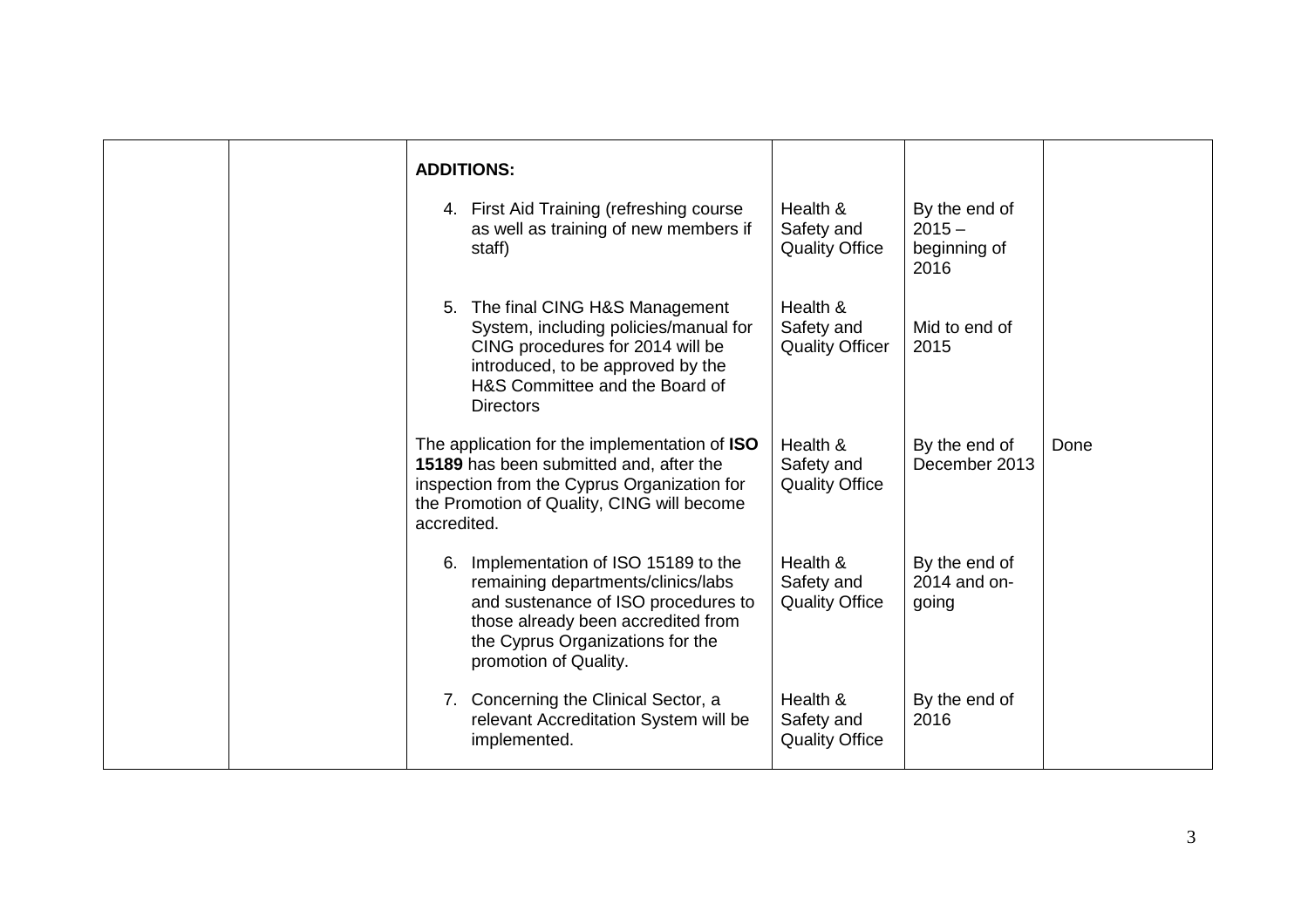| <b>ADDITIONS:</b>                                                                                                                                                                                                        |                                                  |                                                   |      |
|--------------------------------------------------------------------------------------------------------------------------------------------------------------------------------------------------------------------------|--------------------------------------------------|---------------------------------------------------|------|
| 4. First Aid Training (refreshing course<br>as well as training of new members if<br>staff)                                                                                                                              | Health &<br>Safety and<br><b>Quality Office</b>  | By the end of<br>$2015 -$<br>beginning of<br>2016 |      |
| The final CING H&S Management<br>5.<br>System, including policies/manual for<br>CING procedures for 2014 will be<br>introduced, to be approved by the<br>H&S Committee and the Board of<br><b>Directors</b>              | Health &<br>Safety and<br><b>Quality Officer</b> | Mid to end of<br>2015                             |      |
| The application for the implementation of ISO<br>15189 has been submitted and, after the<br>inspection from the Cyprus Organization for<br>the Promotion of Quality, CING will become<br>accredited.                     | Health &<br>Safety and<br><b>Quality Office</b>  | By the end of<br>December 2013                    | Done |
| Implementation of ISO 15189 to the<br>6.<br>remaining departments/clinics/labs<br>and sustenance of ISO procedures to<br>those already been accredited from<br>the Cyprus Organizations for the<br>promotion of Quality. | Health &<br>Safety and<br><b>Quality Office</b>  | By the end of<br>2014 and on-<br>going            |      |
| 7. Concerning the Clinical Sector, a<br>relevant Accreditation System will be<br>implemented.                                                                                                                            | Health &<br>Safety and<br><b>Quality Office</b>  | By the end of<br>2016                             |      |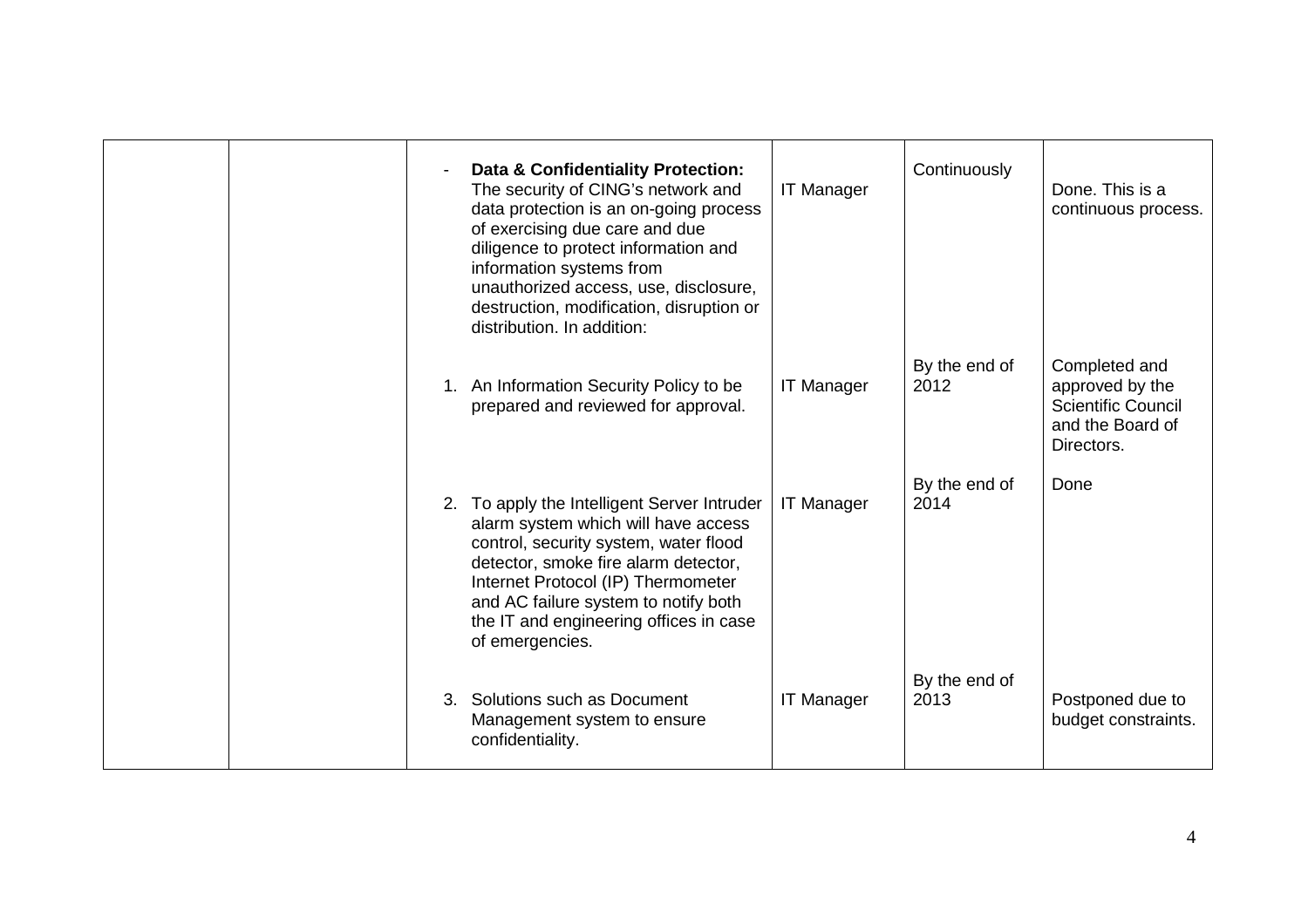|  | Data & Confidentiality Protection:<br>The security of CING's network and<br>data protection is an on-going process<br>of exercising due care and due<br>diligence to protect information and<br>information systems from<br>unauthorized access, use, disclosure,<br>destruction, modification, disruption or<br>distribution. In addition: | <b>IT Manager</b> | Continuously          | Done. This is a<br>continuous process.                                                          |
|--|---------------------------------------------------------------------------------------------------------------------------------------------------------------------------------------------------------------------------------------------------------------------------------------------------------------------------------------------|-------------------|-----------------------|-------------------------------------------------------------------------------------------------|
|  | 1. An Information Security Policy to be<br>prepared and reviewed for approval.                                                                                                                                                                                                                                                              | <b>IT Manager</b> | By the end of<br>2012 | Completed and<br>approved by the<br><b>Scientific Council</b><br>and the Board of<br>Directors. |
|  | 2. To apply the Intelligent Server Intruder<br>alarm system which will have access<br>control, security system, water flood<br>detector, smoke fire alarm detector,<br>Internet Protocol (IP) Thermometer<br>and AC failure system to notify both<br>the IT and engineering offices in case<br>of emergencies.                              | <b>IT Manager</b> | By the end of<br>2014 | Done                                                                                            |
|  | 3. Solutions such as Document<br>Management system to ensure<br>confidentiality.                                                                                                                                                                                                                                                            | <b>IT Manager</b> | By the end of<br>2013 | Postponed due to<br>budget constraints.                                                         |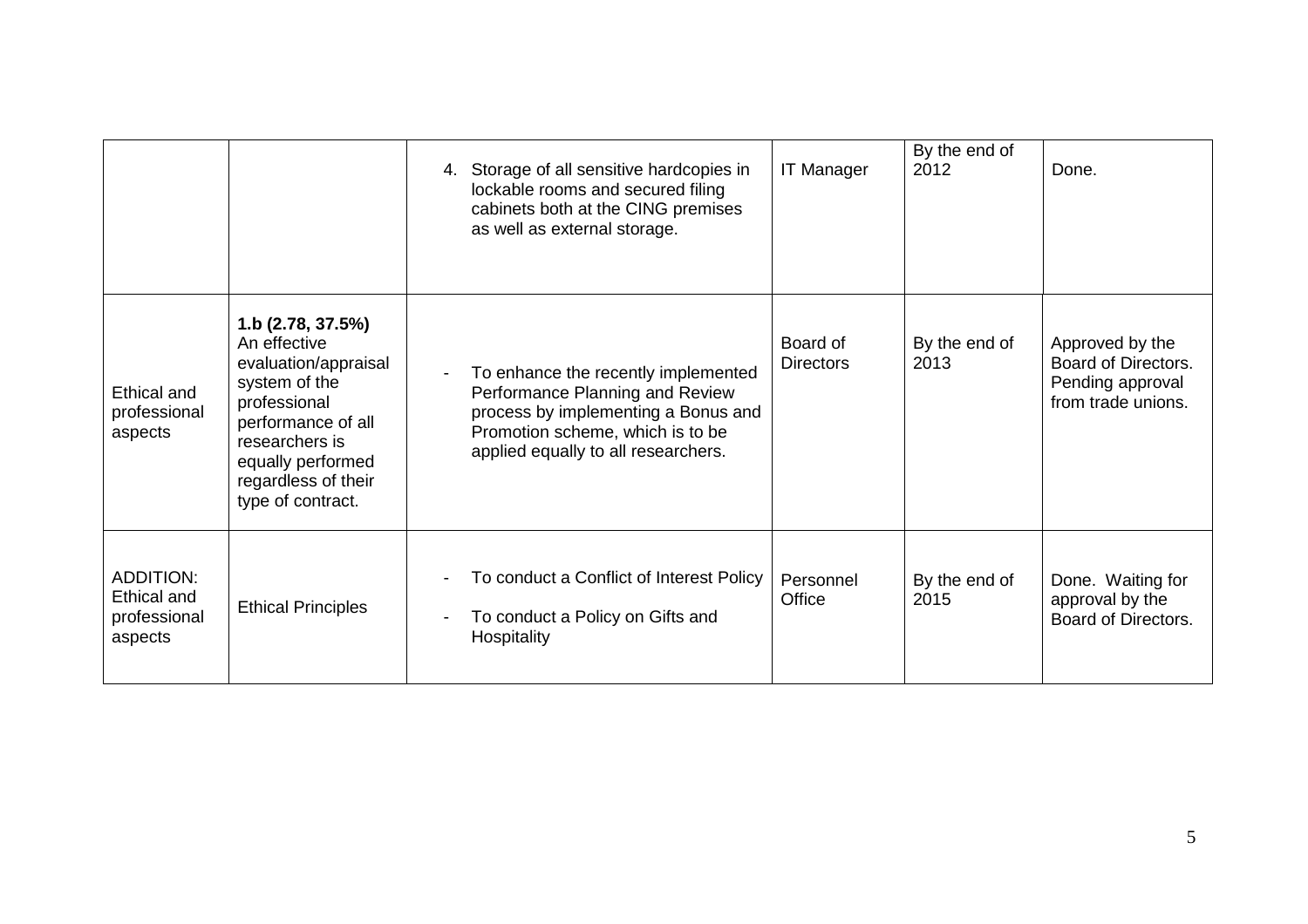|                                                            |                                                                                                                                                                                                     | 4. Storage of all sensitive hardcopies in<br>lockable rooms and secured filing<br>cabinets both at the CING premises<br>as well as external storage.                                                                 | <b>IT Manager</b>            | By the end of<br>2012 | Done.                                                                            |
|------------------------------------------------------------|-----------------------------------------------------------------------------------------------------------------------------------------------------------------------------------------------------|----------------------------------------------------------------------------------------------------------------------------------------------------------------------------------------------------------------------|------------------------------|-----------------------|----------------------------------------------------------------------------------|
| Ethical and<br>professional<br>aspects                     | 1.b (2.78, 37.5%)<br>An effective<br>evaluation/appraisal<br>system of the<br>professional<br>performance of all<br>researchers is<br>equally performed<br>regardless of their<br>type of contract. | To enhance the recently implemented<br>$\overline{\phantom{a}}$<br>Performance Planning and Review<br>process by implementing a Bonus and<br>Promotion scheme, which is to be<br>applied equally to all researchers. | Board of<br><b>Directors</b> | By the end of<br>2013 | Approved by the<br>Board of Directors.<br>Pending approval<br>from trade unions. |
| <b>ADDITION:</b><br>Ethical and<br>professional<br>aspects | <b>Ethical Principles</b>                                                                                                                                                                           | To conduct a Conflict of Interest Policy<br>$\overline{\phantom{a}}$<br>To conduct a Policy on Gifts and<br>Hospitality                                                                                              | Personnel<br>Office          | By the end of<br>2015 | Done. Waiting for<br>approval by the<br>Board of Directors.                      |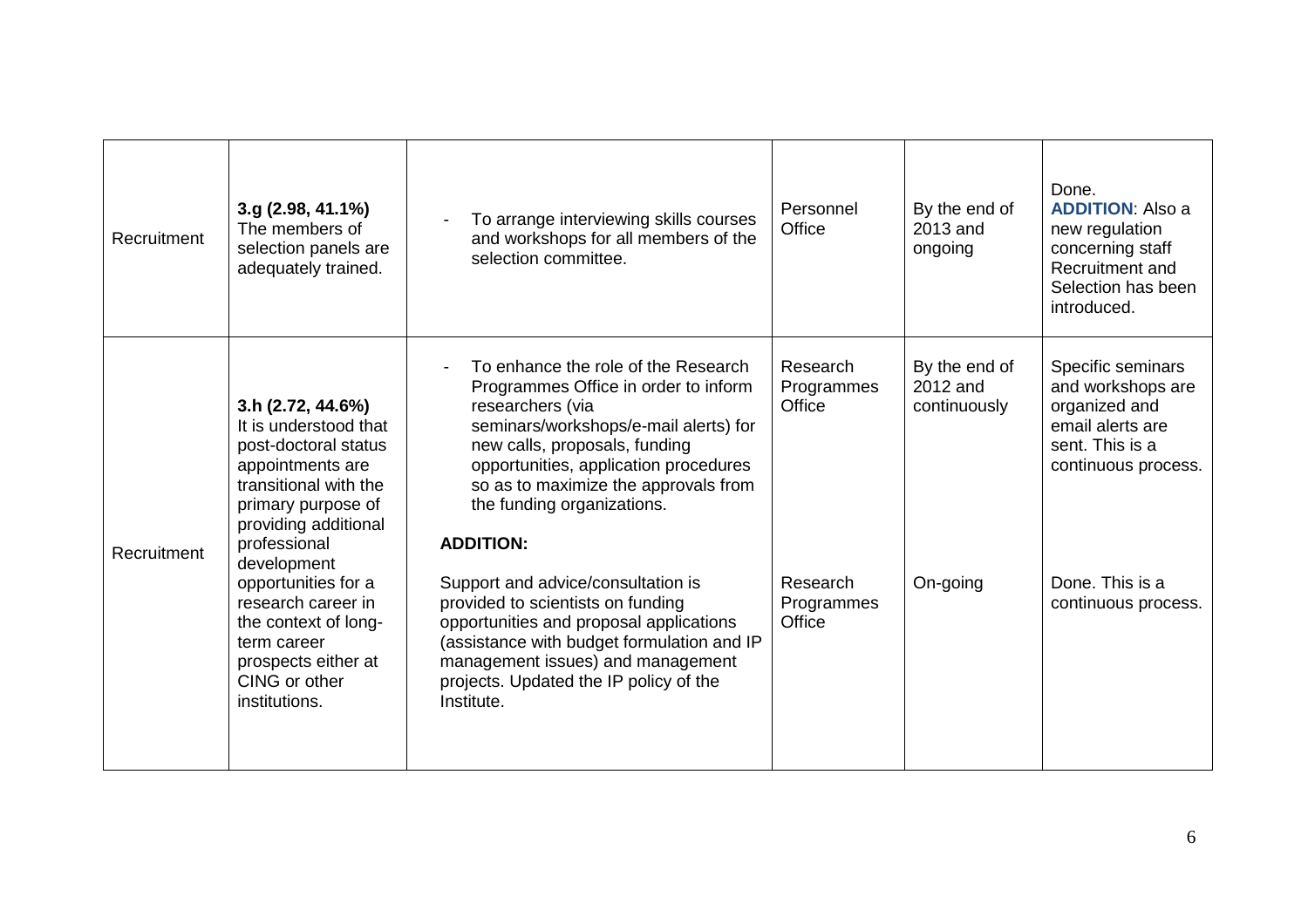| Recruitment | 3.g (2.98, 41.1%)<br>The members of<br>selection panels are<br>adequately trained.                                                                                            | To arrange interviewing skills courses<br>and workshops for all members of the<br>selection committee.                                                                                                                                                                                                       | Personnel<br>Office              | By the end of<br>2013 and<br>ongoing      | Done.<br><b>ADDITION: Also a</b><br>new regulation<br>concerning staff<br>Recruitment and<br>Selection has been<br>introduced. |
|-------------|-------------------------------------------------------------------------------------------------------------------------------------------------------------------------------|--------------------------------------------------------------------------------------------------------------------------------------------------------------------------------------------------------------------------------------------------------------------------------------------------------------|----------------------------------|-------------------------------------------|--------------------------------------------------------------------------------------------------------------------------------|
| Recruitment | 3.h (2.72, 44.6%)<br>It is understood that<br>post-doctoral status<br>appointments are<br>transitional with the<br>primary purpose of<br>providing additional<br>professional | To enhance the role of the Research<br>Programmes Office in order to inform<br>researchers (via<br>seminars/workshops/e-mail alerts) for<br>new calls, proposals, funding<br>opportunities, application procedures<br>so as to maximize the approvals from<br>the funding organizations.<br><b>ADDITION:</b> | Research<br>Programmes<br>Office | By the end of<br>2012 and<br>continuously | Specific seminars<br>and workshops are<br>organized and<br>email alerts are<br>sent. This is a<br>continuous process.          |
|             | development<br>opportunities for a<br>research career in<br>the context of long-<br>term career<br>prospects either at<br>CING or other<br>institutions.                      | Support and advice/consultation is<br>provided to scientists on funding<br>opportunities and proposal applications<br>(assistance with budget formulation and IP<br>management issues) and management<br>projects. Updated the IP policy of the<br>Institute.                                                | Research<br>Programmes<br>Office | On-going                                  | Done. This is a<br>continuous process.                                                                                         |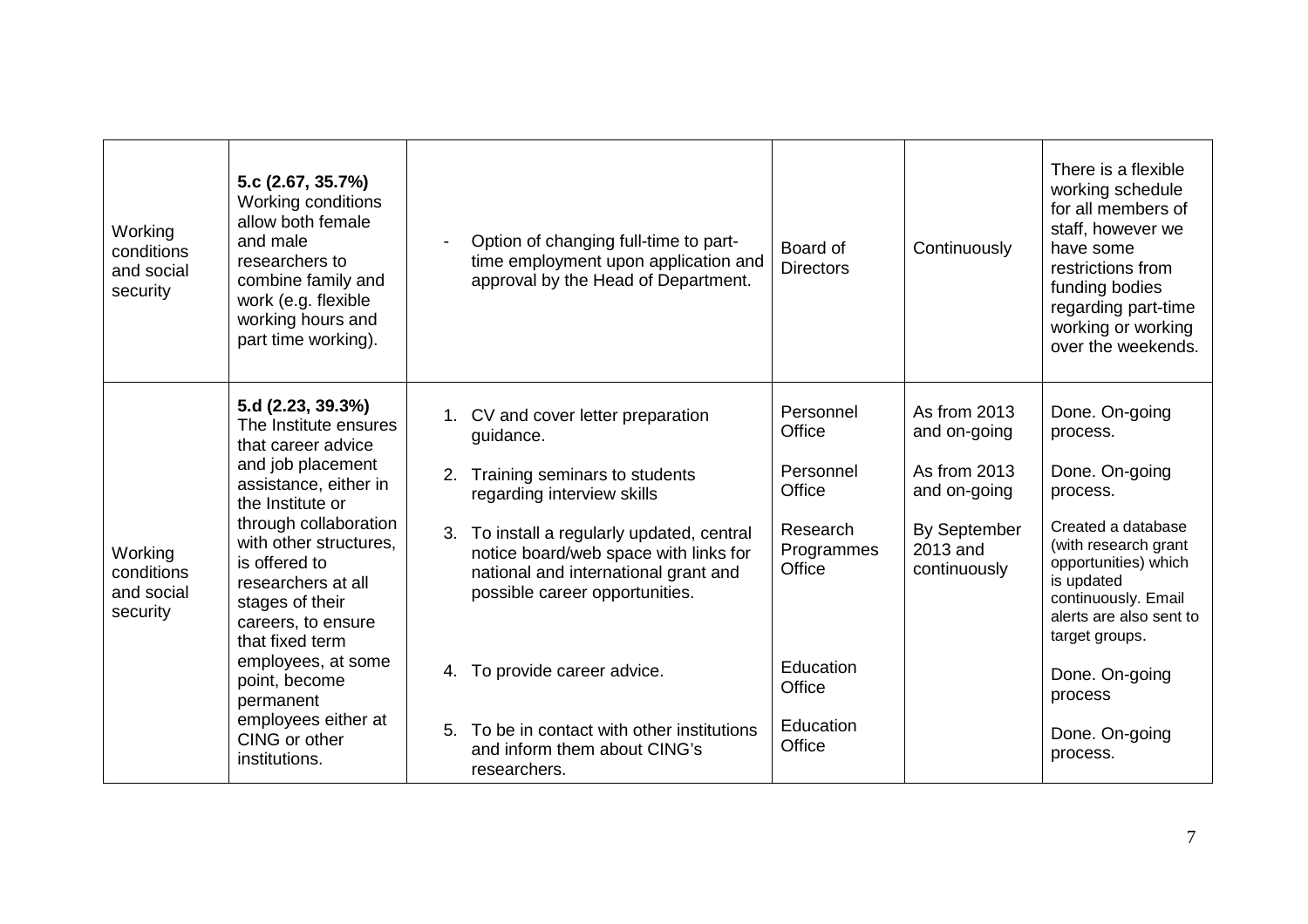| Working<br>conditions<br>and social<br>security | 5.c (2.67, 35.7%)<br>Working conditions<br>allow both female<br>and male<br>researchers to<br>combine family and<br>work (e.g. flexible<br>working hours and<br>part time working).                                                                                                                                                                                                                   |                            | Option of changing full-time to part-<br>time employment upon application and<br>approval by the Head of Department.                                                                                                                                                                                                                                                                                     | Board of<br><b>Directors</b>                                                                                                 | Continuously                                                                                             | There is a flexible<br>working schedule<br>for all members of<br>staff, however we<br>have some<br>restrictions from<br>funding bodies<br>regarding part-time<br>working or working<br>over the weekends.                                                                   |
|-------------------------------------------------|-------------------------------------------------------------------------------------------------------------------------------------------------------------------------------------------------------------------------------------------------------------------------------------------------------------------------------------------------------------------------------------------------------|----------------------------|----------------------------------------------------------------------------------------------------------------------------------------------------------------------------------------------------------------------------------------------------------------------------------------------------------------------------------------------------------------------------------------------------------|------------------------------------------------------------------------------------------------------------------------------|----------------------------------------------------------------------------------------------------------|-----------------------------------------------------------------------------------------------------------------------------------------------------------------------------------------------------------------------------------------------------------------------------|
| Working<br>conditions<br>and social<br>security | 5.d (2.23, 39.3%)<br>The Institute ensures<br>that career advice<br>and job placement<br>assistance, either in<br>the Institute or<br>through collaboration<br>with other structures.<br>is offered to<br>researchers at all<br>stages of their<br>careers, to ensure<br>that fixed term<br>employees, at some<br>point, become<br>permanent<br>employees either at<br>CING or other<br>institutions. | 2.<br>4.<br>5 <sub>1</sub> | 1. CV and cover letter preparation<br>guidance.<br>Training seminars to students<br>regarding interview skills<br>3. To install a regularly updated, central<br>notice board/web space with links for<br>national and international grant and<br>possible career opportunities.<br>To provide career advice.<br>To be in contact with other institutions<br>and inform them about CING's<br>researchers. | Personnel<br>Office<br>Personnel<br>Office<br>Research<br>Programmes<br>Office<br>Education<br>Office<br>Education<br>Office | As from 2013<br>and on-going<br>As from 2013<br>and on-going<br>By September<br>2013 and<br>continuously | Done. On-going<br>process.<br>Done. On-going<br>process.<br>Created a database<br>(with research grant<br>opportunities) which<br>is updated<br>continuously. Email<br>alerts are also sent to<br>target groups.<br>Done. On-going<br>process<br>Done. On-going<br>process. |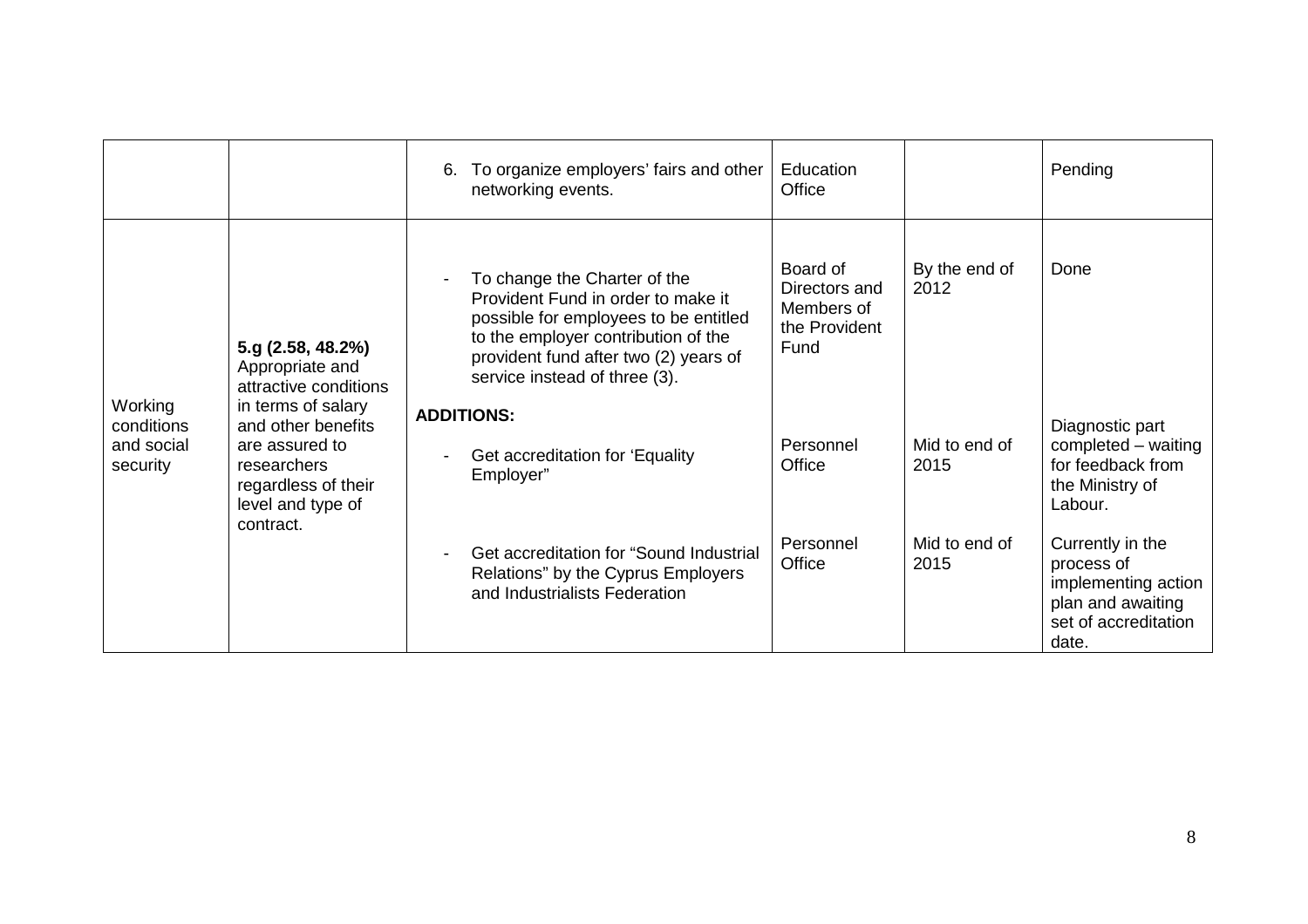|                                                 |                                                                                                                                    | 6. | To organize employers' fairs and other<br>networking events.                                                                                                                                                                 | Education<br>Office                                              |                       | Pending                                                                                                     |
|-------------------------------------------------|------------------------------------------------------------------------------------------------------------------------------------|----|------------------------------------------------------------------------------------------------------------------------------------------------------------------------------------------------------------------------------|------------------------------------------------------------------|-----------------------|-------------------------------------------------------------------------------------------------------------|
|                                                 | 5.g (2.58, 48.2%)<br>Appropriate and<br>attractive conditions                                                                      |    | To change the Charter of the<br>Provident Fund in order to make it<br>possible for employees to be entitled<br>to the employer contribution of the<br>provident fund after two (2) years of<br>service instead of three (3). | Board of<br>Directors and<br>Members of<br>the Provident<br>Fund | By the end of<br>2012 | Done                                                                                                        |
| Working<br>conditions<br>and social<br>security | in terms of salary<br>and other benefits<br>are assured to<br>researchers<br>regardless of their<br>level and type of<br>contract. |    | <b>ADDITIONS:</b><br>Get accreditation for 'Equality<br>Employer"                                                                                                                                                            | Personnel<br>Office                                              | Mid to end of<br>2015 | Diagnostic part<br>completed - waiting<br>for feedback from<br>the Ministry of<br>Labour.                   |
|                                                 |                                                                                                                                    |    | Get accreditation for "Sound Industrial<br>Relations" by the Cyprus Employers<br>and Industrialists Federation                                                                                                               | Personnel<br>Office                                              | Mid to end of<br>2015 | Currently in the<br>process of<br>implementing action<br>plan and awaiting<br>set of accreditation<br>date. |